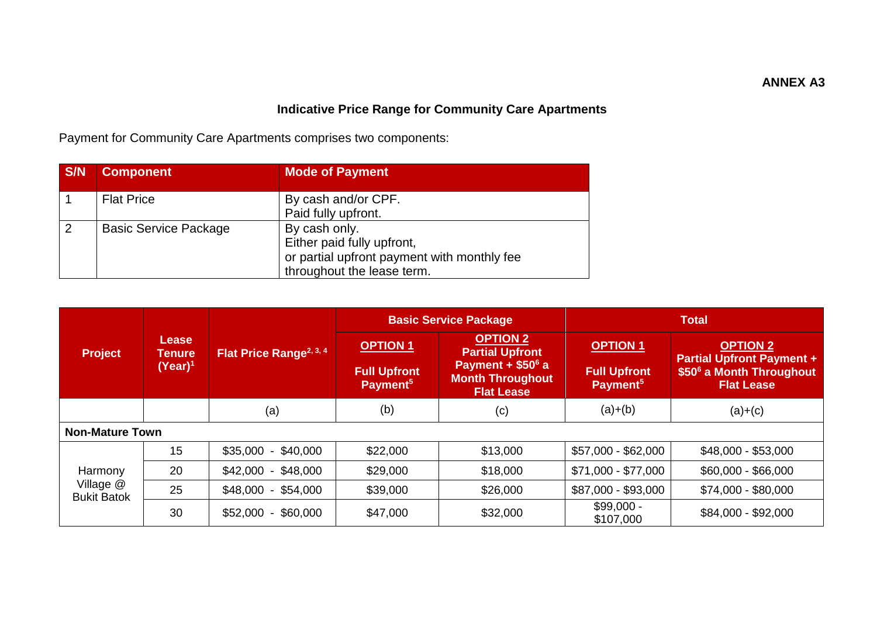## **Indicative Price Range for Community Care Apartments**

Payment for Community Care Apartments comprises two components:

| S/N            | <b>Component</b>             | <b>Mode of Payment</b>                      |
|----------------|------------------------------|---------------------------------------------|
|                | <b>Flat Price</b>            | By cash and/or CPF.                         |
|                |                              | Paid fully upfront.                         |
| $\overline{2}$ | <b>Basic Service Package</b> | By cash only.                               |
|                |                              | Either paid fully upfront,                  |
|                |                              | or partial upfront payment with monthly fee |
|                |                              | throughout the lease term.                  |

|                                   | Lease<br><b>Tenure</b><br>(Year) <sup>1</sup> | Flat Price Range <sup>2, 3, 41</sup> | <b>Basic Service Package</b>                                   |                                                                                                                            | <b>Total</b>                                                   |                                                                                                      |
|-----------------------------------|-----------------------------------------------|--------------------------------------|----------------------------------------------------------------|----------------------------------------------------------------------------------------------------------------------------|----------------------------------------------------------------|------------------------------------------------------------------------------------------------------|
| <b>Project</b>                    |                                               |                                      | <b>OPTION 1</b><br><b>Full Upfront</b><br>Payment <sup>5</sup> | <b>OPTION 2</b><br><b>Partial Upfront</b><br>Payment + \$50 <sup>6</sup> a<br><b>Month Throughout</b><br><b>Flat Lease</b> | <b>OPTION 1</b><br><b>Full Upfront</b><br>Payment <sup>5</sup> | <b>OPTION 2</b><br><b>Partial Upfront Payment +</b><br>\$50° a Month Throughout<br><b>Flat Lease</b> |
|                                   |                                               | (a)                                  | (b)                                                            | (c)                                                                                                                        | $(a)+(b)$                                                      | $(a)+(c)$                                                                                            |
| <b>Non-Mature Town</b>            |                                               |                                      |                                                                |                                                                                                                            |                                                                |                                                                                                      |
|                                   | 15                                            | $$35,000 - $40,000$                  | \$22,000                                                       | \$13,000                                                                                                                   | \$57,000 - \$62,000                                            | $$48,000 - $53,000$                                                                                  |
| Harmony                           | 20                                            | $$42,000 - $48,000$                  | \$29,000                                                       | \$18,000                                                                                                                   | \$71,000 - \$77,000                                            | $$60,000 - $66,000$                                                                                  |
| Village $@$<br><b>Bukit Batok</b> | 25                                            | $$48,000 - $54,000$                  | \$39,000                                                       | \$26,000                                                                                                                   | \$87,000 - \$93,000                                            | \$74,000 - \$80,000                                                                                  |
|                                   | 30                                            | $$52,000 - $60,000$                  | \$47,000                                                       | \$32,000                                                                                                                   | $$99,000 -$<br>\$107,000                                       | \$84,000 - \$92,000                                                                                  |